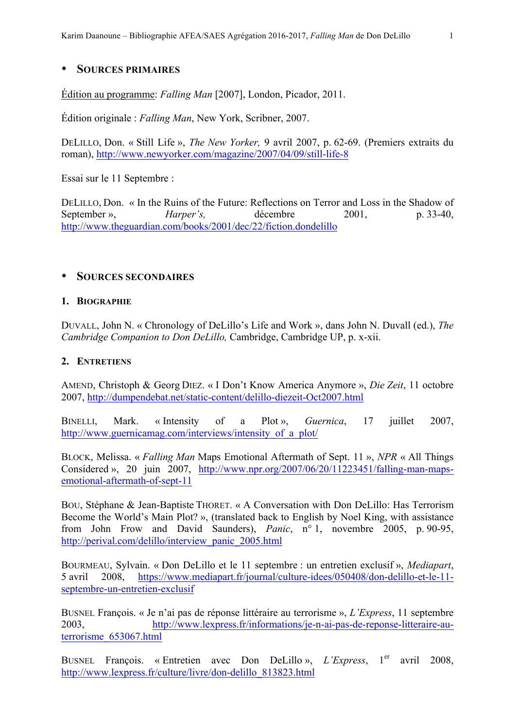## • **SOURCES PRIMAIRES**

Édition au programme: *Falling Man* [2007], London, Picador, 2011.

Édition originale : *Falling Man*, New York, Scribner, 2007.

DELILLO, Don. « Still Life », *The New Yorker,* 9 avril 2007, p. 62-69. (Premiers extraits du roman), http://www.newyorker.com/magazine/2007/04/09/still-life-8

Essai sur le 11 Septembre :

DELILLO, Don. « In the Ruins of the Future: Reflections on Terror and Loss in the Shadow of September », *Harper's*, décembre 2001, p. 33-40, http://www.theguardian.com/books/2001/dec/22/fiction.dondelillo

### • **SOURCES SECONDAIRES**

#### **1. BIOGRAPHIE**

DUVALL, John N. « Chronology of DeLillo's Life and Work », dans John N. Duvall (ed.), *The Cambridge Companion to Don DeLillo,* Cambridge, Cambridge UP, p. x-xii.

### **2. ENTRETIENS**

AMEND, Christoph & Georg DIEZ. « I Don't Know America Anymore », *Die Zeit*, 11 octobre 2007, http://dumpendebat.net/static-content/delillo-diezeit-Oct2007.html

BINELLI, Mark. « Intensity of a Plot », *Guernica*, 17 juillet 2007, http://www.guernicamag.com/interviews/intensity of a plot/

BLOCK, Melissa. « *Falling Man* Maps Emotional Aftermath of Sept. 11 », *NPR* « All Things Considered », 20 juin 2007, http://www.npr.org/2007/06/20/11223451/falling-man-mapsemotional-aftermath-of-sept-11

BOU, Stéphane & Jean-Baptiste THORET. « A Conversation with Don DeLillo: Has Terrorism Become the World's Main Plot? », (translated back to English by Noel King, with assistance from John Frow and David Saunders), *Panic*, n° 1, novembre 2005, p. 90-95, http://perival.com/delillo/interview\_panic\_2005.html

BOURMEAU, Sylvain. « Don DeLillo et le 11 septembre : un entretien exclusif », *Mediapart*, 5 avril 2008, https://www.mediapart.fr/journal/culture-idees/050408/don-delillo-et-le-11 septembre-un-entretien-exclusif

BUSNEL François. « Je n'ai pas de réponse littéraire au terrorisme », *L'Express*, 11 septembre 2003, http://www.lexpress.fr/informations/je-n-ai-pas-de-reponse-litteraire-auterrorisme\_653067.html

BUSNEL François. « Entretien avec Don DeLillo », *L'Express*, 1<sup>er</sup> avril 2008, http://www.lexpress.fr/culture/livre/don-delillo\_813823.html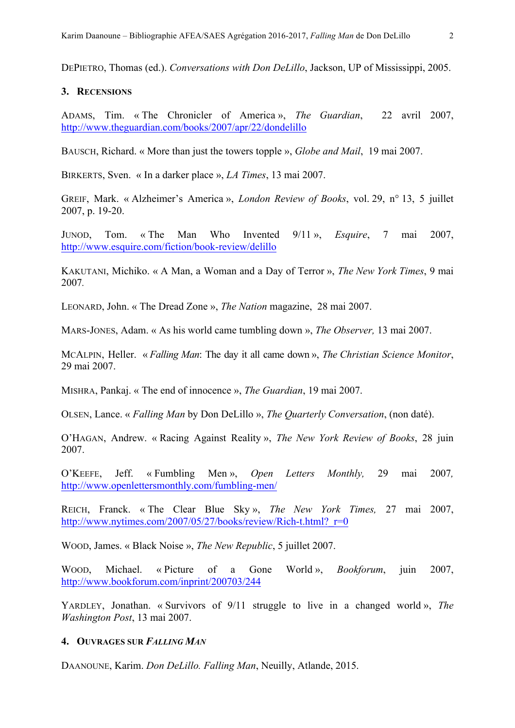DEPIETRO, Thomas (ed.). *Conversations with Don DeLillo*, Jackson, UP of Mississippi, 2005.

### **3. RECENSIONS**

ADAMS, Tim. « The Chronicler of America », *The Guardian*, 22 avril 2007, http://www.theguardian.com/books/2007/apr/22/dondelillo

BAUSCH, Richard. « More than just the towers topple », *Globe and Mail*, 19 mai 2007.

BIRKERTS, Sven. « In a darker place », *LA Times*, 13 mai 2007.

GREIF, Mark. « Alzheimer's America », *London Review of Books*, vol. 29, n° 13, 5 juillet 2007, p. 19-20.

JUNOD, Tom. « The Man Who Invented 9/11 », *Esquire*, 7 mai 2007, http://www.esquire.com/fiction/book-review/delillo

KAKUTANI, Michiko. « A Man, a Woman and a Day of Terror », *The New York Times*, 9 mai 2007*.*

LEONARD, John. « The Dread Zone », *The Nation* magazine, 28 mai 2007.

MARS-JONES, Adam. « As his world came tumbling down », *The Observer,* 13 mai 2007.

MCALPIN, Heller. « *Falling Man*: The day it all came down », *The Christian Science Monitor*, 29 mai 2007.

MISHRA, Pankaj. « The end of innocence », *The Guardian*, 19 mai 2007.

OLSEN, Lance. « *Falling Man* by Don DeLillo », *The Quarterly Conversation*, (non daté).

O'HAGAN, Andrew. « Racing Against Reality », *The New York Review of Books*, 28 juin 2007.

O'KEEFE, Jeff. « Fumbling Men », *Open Letters Monthly,* 29 mai 2007*,* http://www.openlettersmonthly.com/fumbling-men/

REICH, Franck. « The Clear Blue Sky », *The New York Times,* 27 mai 2007, http://www.nytimes.com/2007/05/27/books/review/Rich-t.html? r=0

WOOD, James. « Black Noise », *The New Republic*, 5 juillet 2007.

WOOD, Michael. « Picture of a Gone World », *Bookforum*, juin 2007, http://www.bookforum.com/inprint/200703/244

YARDLEY, Jonathan. « Survivors of 9/11 struggle to live in a changed world », *The Washington Post*, 13 mai 2007.

# **4. OUVRAGES SUR** *FALLING MAN*

DAANOUNE, Karim. *Don DeLillo. Falling Man*, Neuilly, Atlande, 2015.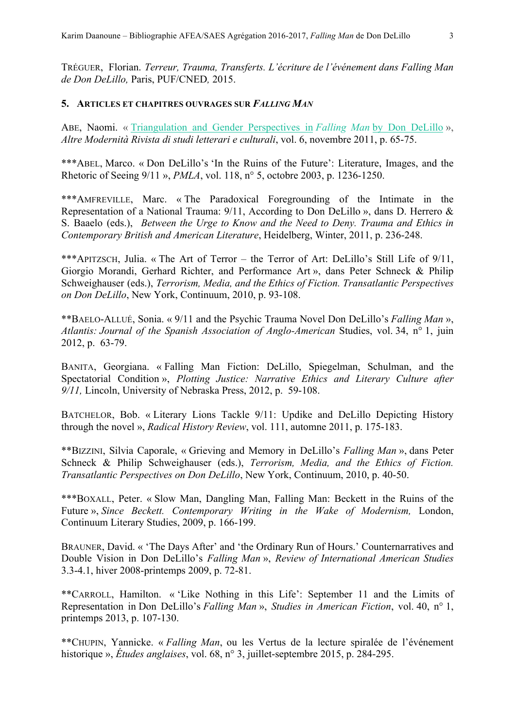TRÉGUER, Florian. *Terreur, Trauma, Transferts. L'écriture de l'événement dans Falling Man de Don DeLillo,* Paris, PUF/CNED*,* 2015.

### **5. ARTICLES ET CHAPITRES OUVRAGES SUR** *FALLING MAN*

ABE, Naomi. « Triangulation and Gender Perspectives in *Falling Man* by Don DeLillo », *Altre Modernità Rivista di studi letterari e culturali*, vol. 6, novembre 2011, p. 65-75.

\*\*\*ABEL, Marco. « Don DeLillo's 'In the Ruins of the Future': Literature, Images, and the Rhetoric of Seeing 9/11 », *PMLA*, vol. 118, n° 5, octobre 2003, p. 1236-1250.

\*\*\*AMFREVILLE, Marc. « The Paradoxical Foregrounding of the Intimate in the Representation of a National Trauma: 9/11, According to Don DeLillo », dans D. Herrero & S. Baaelo (eds.), *Between the Urge to Know and the Need to Deny. Trauma and Ethics in Contemporary British and American Literature*, Heidelberg, Winter, 2011, p. 236-248.

\*\*\*APITZSCH, Julia. « The Art of Terror – the Terror of Art: DeLillo's Still Life of 9/11, Giorgio Morandi, Gerhard Richter, and Performance Art », dans Peter Schneck & Philip Schweighauser (eds.), *Terrorism, Media, and the Ethics of Fiction. Transatlantic Perspectives on Don DeLillo*, New York, Continuum, 2010, p. 93-108.

\*\*BAELO-ALLUÉ, Sonia. « 9/11 and the Psychic Trauma Novel Don DeLillo's *Falling Man* », *Atlantis: Journal of the Spanish Association of Anglo-American* Studies, vol. 34, n° 1, juin 2012, p. 63-79.

BANITA, Georgiana. « Falling Man Fiction: DeLillo, Spiegelman, Schulman, and the Spectatorial Condition », *Plotting Justice: Narrative Ethics and Literary Culture after 9/11,* Lincoln, University of Nebraska Press, 2012, p. 59-108.

BATCHELOR, Bob. « Literary Lions Tackle 9/11: Updike and DeLillo Depicting History through the novel », *Radical History Review*, vol. 111, automne 2011, p. 175-183.

\*\*BIZZINI, Silvia Caporale, « Grieving and Memory in DeLillo's *Falling Man* », dans Peter Schneck & Philip Schweighauser (eds.), *Terrorism, Media, and the Ethics of Fiction. Transatlantic Perspectives on Don DeLillo*, New York, Continuum, 2010, p. 40-50.

\*\*\*BOXALL, Peter. « Slow Man, Dangling Man, Falling Man: Beckett in the Ruins of the Future », *Since Beckett. Contemporary Writing in the Wake of Modernism,* London, Continuum Literary Studies, 2009, p. 166-199.

BRAUNER, David. « 'The Days After' and 'the Ordinary Run of Hours.' Counternarratives and Double Vision in Don DeLillo's *Falling Man* », *Review of International American Studies* 3.3-4.1, hiver 2008-printemps 2009, p. 72-81.

\*\*CARROLL, Hamilton. « 'Like Nothing in this Life': September 11 and the Limits of Representation in Don DeLillo's *Falling Man* », *Studies in American Fiction*, vol. 40, n° 1, printemps 2013, p. 107-130.

\*\*CHUPIN, Yannicke. « *Falling Man*, ou les Vertus de la lecture spiralée de l'événement historique », *Études anglaises*, vol. 68, n° 3, juillet-septembre 2015, p. 284-295.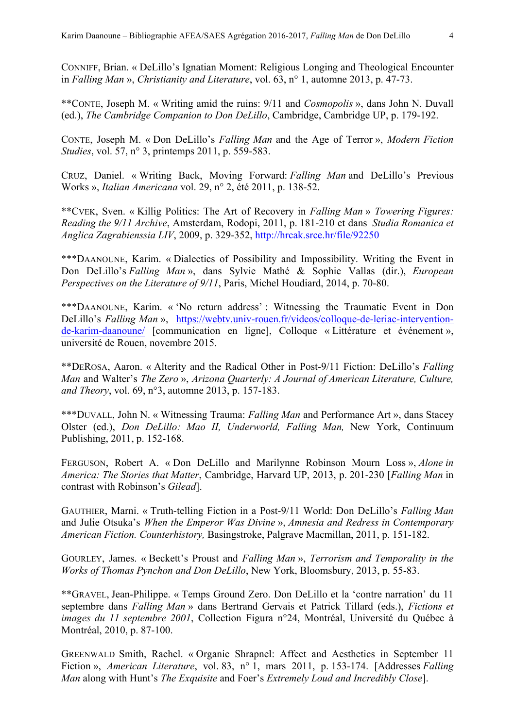CONNIFF, Brian. « DeLillo's Ignatian Moment: Religious Longing and Theological Encounter in *Falling Man* », *Christianity and Literature*, vol. 63, n° 1, automne 2013, p. 47-73.

\*\*CONTE, Joseph M. « Writing amid the ruins: 9/11 and *Cosmopolis* », dans John N. Duvall (ed.), *The Cambridge Companion to Don DeLillo*, Cambridge, Cambridge UP, p. 179-192.

CONTE, Joseph M. « Don DeLillo's *Falling Man* and the Age of Terror », *Modern Fiction Studies*, vol. 57, n° 3, printemps 2011, p. 559-583.

CRUZ, Daniel. « Writing Back, Moving Forward: *Falling Man* and DeLillo's Previous Works », *Italian Americana* vol. 29, n° 2, été 2011, p. 138-52.

\*\*CVEK, Sven. « Killig Politics: The Art of Recovery in *Falling Man* » *Towering Figures: Reading the 9/11 Archive*, Amsterdam, Rodopi, 2011, p. 181-210 et dans *Studia Romanica et Anglica Zagrabienssia LIV*, 2009, p. 329-352, http://hrcak.srce.hr/file/92250

\*\*\*DAANOUNE, Karim. « Dialectics of Possibility and Impossibility. Writing the Event in Don DeLillo's *Falling Man* », dans Sylvie Mathé & Sophie Vallas (dir.), *European Perspectives on the Literature of 9/11*, Paris, Michel Houdiard, 2014, p. 70-80.

\*\*\*DAANOUNE, Karim. « 'No return address' : Witnessing the Traumatic Event in Don DeLillo's *Falling Man* », https://webtv.univ-rouen.fr/videos/colloque-de-leriac-interventionde-karim-daanoune/ [communication en ligne], Colloque « Littérature et événement », université de Rouen, novembre 2015.

\*\*DEROSA, Aaron. « Alterity and the Radical Other in Post-9/11 Fiction: DeLillo's *Falling Man* and Walter's *The Zero* », *Arizona Quarterly: A Journal of American Literature, Culture, and Theory*, vol. 69, n°3, automne 2013, p. 157-183.

\*\*\*DUVALL, John N. « Witnessing Trauma: *Falling Man* and Performance Art », dans Stacey Olster (ed.), *Don DeLillo: Mao II, Underworld, Falling Man,* New York, Continuum Publishing, 2011, p. 152-168.

FERGUSON, Robert A. « Don DeLillo and Marilynne Robinson Mourn Loss », *Alone in America: The Stories that Matter*, Cambridge, Harvard UP, 2013, p. 201-230 [*Falling Man* in contrast with Robinson's *Gilead*].

GAUTHIER, Marni. « Truth-telling Fiction in a Post-9/11 World: Don DeLillo's *Falling Man* and Julie Otsuka's *When the Emperor Was Divine* », *Amnesia and Redress in Contemporary American Fiction. Counterhistory,* Basingstroke, Palgrave Macmillan, 2011, p. 151-182.

GOURLEY, James. « Beckett's Proust and *Falling Man* », *Terrorism and Temporality in the Works of Thomas Pynchon and Don DeLillo*, New York, Bloomsbury, 2013, p. 55-83.

\*\*GRAVEL, Jean-Philippe. « Temps Ground Zero. Don DeLillo et la 'contre narration' du 11 septembre dans *Falling Man* » dans Bertrand Gervais et Patrick Tillard (eds.), *Fictions et images du 11 septembre 2001*, Collection Figura n°24, Montréal, Université du Québec à Montréal, 2010, p. 87-100.

GREENWALD Smith, Rachel. « Organic Shrapnel: Affect and Aesthetics in September 11 Fiction », *American Literature*, vol. 83, n° 1, mars 2011, p. 153-174. [Addresses *Falling Man* along with Hunt's *The Exquisite* and Foer's *Extremely Loud and Incredibly Close*].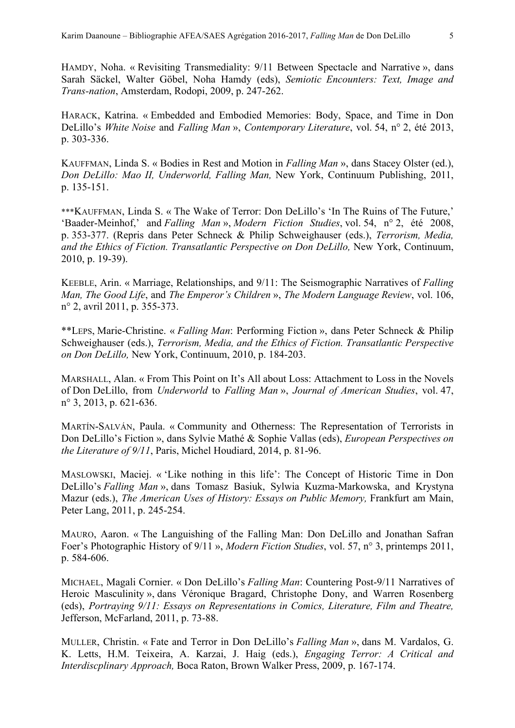HAMDY, Noha. « Revisiting Transmediality: 9/11 Between Spectacle and Narrative », dans Sarah Säckel, Walter Göbel, Noha Hamdy (eds), *Semiotic Encounters: Text, Image and Trans-nation*, Amsterdam, Rodopi, 2009, p. 247-262.

HARACK, Katrina. « Embedded and Embodied Memories: Body, Space, and Time in Don DeLillo's *White Noise* and *Falling Man* », *Contemporary Literature*, vol. 54, n° 2, été 2013, p. 303-336.

KAUFFMAN, Linda S. « Bodies in Rest and Motion in *Falling Man* », dans Stacey Olster (ed.), *Don DeLillo: Mao II, Underworld, Falling Man,* New York, Continuum Publishing, 2011, p. 135-151.

\*\*\*KAUFFMAN, Linda S. « The Wake of Terror: Don DeLillo's 'In The Ruins of The Future,' 'Baader-Meinhof,' and *Falling Man* », *Modern Fiction Studies*, vol. 54, n° 2, été 2008, p. 353-377. (Repris dans Peter Schneck & Philip Schweighauser (eds.), *Terrorism, Media, and the Ethics of Fiction. Transatlantic Perspective on Don DeLillo,* New York, Continuum, 2010, p. 19-39).

KEEBLE, Arin. « Marriage, Relationships, and 9/11: The Seismographic Narratives of *Falling Man, The Good Life*, and *The Emperor's Children* », *The Modern Language Review*, vol. 106, n° 2, avril 2011, p. 355-373.

\*\*LEPS, Marie-Christine. « *Falling Man*: Performing Fiction », dans Peter Schneck & Philip Schweighauser (eds.), *Terrorism, Media, and the Ethics of Fiction. Transatlantic Perspective on Don DeLillo,* New York, Continuum, 2010, p. 184-203.

MARSHALL, Alan. « From This Point on It's All about Loss: Attachment to Loss in the Novels of Don DeLillo, from *Underworld* to *Falling Man* », *Journal of American Studies*, vol. 47, n° 3, 2013, p. 621-636.

MARTÍN-SALVÁN, Paula. « Community and Otherness: The Representation of Terrorists in Don DeLillo's Fiction », dans Sylvie Mathé & Sophie Vallas (eds), *European Perspectives on the Literature of 9/11*, Paris, Michel Houdiard, 2014, p. 81-96.

MASLOWSKI, Maciej. « 'Like nothing in this life': The Concept of Historic Time in Don DeLillo's *Falling Man* », dans Tomasz Basiuk, Sylwia Kuzma-Markowska, and Krystyna Mazur (eds.), *The American Uses of History: Essays on Public Memory,* Frankfurt am Main, Peter Lang, 2011, p. 245-254.

MAURO, Aaron. « The Languishing of the Falling Man: Don DeLillo and Jonathan Safran Foer's Photographic History of 9/11 », *Modern Fiction Studies*, vol. 57, n° 3, printemps 2011, p. 584-606.

MICHAEL, Magali Cornier. « Don DeLillo's *Falling Man*: Countering Post-9/11 Narratives of Heroic Masculinity », dans Véronique Bragard, Christophe Dony, and Warren Rosenberg (eds), *Portraying 9/11: Essays on Representations in Comics, Literature, Film and Theatre,* Jefferson, McFarland, 2011, p. 73-88.

MULLER, Christin. « Fate and Terror in Don DeLillo's *Falling Man* », dans M. Vardalos, G. K. Letts, H.M. Teixeira, A. Karzai, J. Haig (eds.), *Engaging Terror: A Critical and Interdiscplinary Approach,* Boca Raton, Brown Walker Press, 2009, p. 167-174.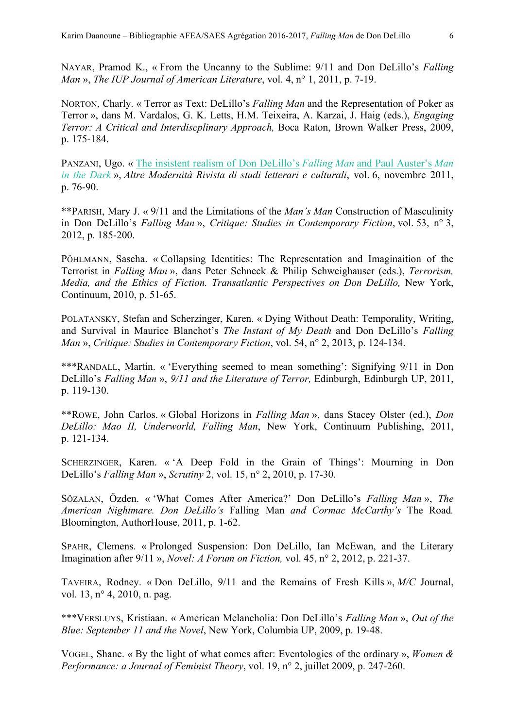NAYAR, Pramod K., « From the Uncanny to the Sublime: 9/11 and Don DeLillo's *Falling Man* », *The IUP Journal of American Literature*, vol. 4, n° 1, 2011, p. 7-19.

NORTON, Charly. « Terror as Text: DeLillo's *Falling Man* and the Representation of Poker as Terror », dans M. Vardalos, G. K. Letts, H.M. Teixeira, A. Karzai, J. Haig (eds.), *Engaging Terror: A Critical and Interdiscplinary Approach,* Boca Raton, Brown Walker Press, 2009, p. 175-184.

PANZANI, Ugo. « The insistent realism of Don DeLillo's *Falling Man* and Paul Auster's *Man in the Dark* », *Altre Modernità Rivista di studi letterari e culturali*, vol. 6, novembre 2011, p. 76-90.

\*\*PARISH, Mary J. « 9/11 and the Limitations of the *Man's Man* Construction of Masculinity in Don DeLillo's *Falling Man* », *Critique: Studies in Contemporary Fiction*, vol. 53, n° 3, 2012, p. 185-200.

PÖHLMANN, Sascha. « Collapsing Identities: The Representation and Imaginaition of the Terrorist in *Falling Man* », dans Peter Schneck & Philip Schweighauser (eds.), *Terrorism, Media, and the Ethics of Fiction. Transatlantic Perspectives on Don DeLillo, New York,* Continuum, 2010, p. 51-65.

POLATANSKY, Stefan and Scherzinger, Karen. « Dying Without Death: Temporality, Writing, and Survival in Maurice Blanchot's *The Instant of My Death* and Don DeLillo's *Falling Man* », *Critique: Studies in Contemporary Fiction*, vol. 54, n° 2, 2013, p. 124-134.

\*\*\*RANDALL, Martin. « 'Everything seemed to mean something': Signifying 9/11 in Don DeLillo's *Falling Man* », *9/11 and the Literature of Terror,* Edinburgh, Edinburgh UP, 2011, p. 119-130.

\*\*ROWE, John Carlos. « Global Horizons in *Falling Man* », dans Stacey Olster (ed.), *Don DeLillo: Mao II, Underworld, Falling Man*, New York, Continuum Publishing, 2011, p. 121-134.

SCHERZINGER, Karen. « 'A Deep Fold in the Grain of Things': Mourning in Don DeLillo's *Falling Man* », *Scrutiny* 2, vol. 15, n° 2, 2010, p. 17-30.

SÖZALAN, Özden. « 'What Comes After America?' Don DeLillo's *Falling Man* », *The American Nightmare. Don DeLillo's* Falling Man *and Cormac McCarthy's* The Road*.* Bloomington, AuthorHouse, 2011, p. 1-62.

SPAHR, Clemens. « Prolonged Suspension: Don DeLillo, Ian McEwan, and the Literary Imagination after 9/11 », *Novel: A Forum on Fiction,* vol. 45, n° 2, 2012, p. 221-37.

TAVEIRA, Rodney. « Don DeLillo, 9/11 and the Remains of Fresh Kills », *M/C* Journal, vol. 13, n° 4, 2010, n. pag.

\*\*\*VERSLUYS, Kristiaan. « American Melancholia: Don DeLillo's *Falling Man* », *Out of the Blue: September 11 and the Novel*, New York, Columbia UP, 2009, p. 19-48.

VOGEL, Shane. « By the light of what comes after: Eventologies of the ordinary », *Women & Performance: a Journal of Feminist Theory*, vol. 19, n° 2, juillet 2009, p. 247-260.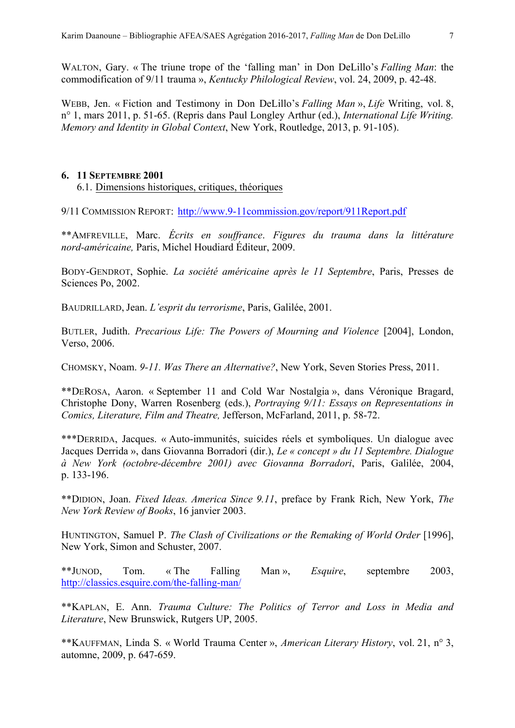WALTON, Gary. « The triune trope of the 'falling man' in Don DeLillo's *Falling Man*: the commodification of 9/11 trauma », *Kentucky Philological Review*, vol. 24, 2009, p. 42-48.

WEBB, Jen. « Fiction and Testimony in Don DeLillo's *Falling Man* », *Life* Writing, vol. 8, n° 1, mars 2011, p. 51-65. (Repris dans Paul Longley Arthur (ed.), *International Life Writing. Memory and Identity in Global Context*, New York, Routledge, 2013, p. 91-105).

### **6. 11 SEPTEMBRE 2001**

6.1. Dimensions historiques, critiques, théoriques

9/11 COMMISSION REPORT: http://www.9-11commission.gov/report/911Report.pdf

\*\*AMFREVILLE, Marc. *Écrits en souffrance*. *Figures du trauma dans la littérature nord-américaine,* Paris, Michel Houdiard Éditeur, 2009.

BODY-GENDROT, Sophie. *La société américaine après le 11 Septembre*, Paris, Presses de Sciences Po, 2002.

BAUDRILLARD, Jean. *L'esprit du terrorisme*, Paris, Galilée, 2001.

BUTLER, Judith. *Precarious Life: The Powers of Mourning and Violence* [2004], London, Verso, 2006.

CHOMSKY, Noam. *9-11. Was There an Alternative?*, New York, Seven Stories Press, 2011.

\*\*DEROSA, Aaron. « September 11 and Cold War Nostalgia », dans Véronique Bragard, Christophe Dony, Warren Rosenberg (eds.), *Portraying 9/11: Essays on Representations in Comics, Literature, Film and Theatre,* Jefferson, McFarland, 2011, p. 58-72.

\*\*\*DERRIDA, Jacques. « Auto-immunités, suicides réels et symboliques. Un dialogue avec Jacques Derrida », dans Giovanna Borradori (dir.), *Le « concept » du 11 Septembre. Dialogue à New York (octobre-décembre 2001) avec Giovanna Borradori*, Paris, Galilée, 2004, p. 133-196.

\*\*DIDION, Joan. *Fixed Ideas. America Since 9.11*, preface by Frank Rich, New York, *The New York Review of Books*, 16 janvier 2003.

HUNTINGTON, Samuel P. *The Clash of Civilizations or the Remaking of World Order* [1996], New York, Simon and Schuster, 2007.

\*\*JUNOD, Tom. « The Falling Man », *Esquire*, septembre 2003, http://classics.esquire.com/the-falling-man/

\*\*KAPLAN, E. Ann. *Trauma Culture: The Politics of Terror and Loss in Media and Literature*, New Brunswick, Rutgers UP, 2005.

\*\*KAUFFMAN, Linda S. « World Trauma Center », *American Literary History*, vol. 21, n° 3, automne, 2009, p. 647-659.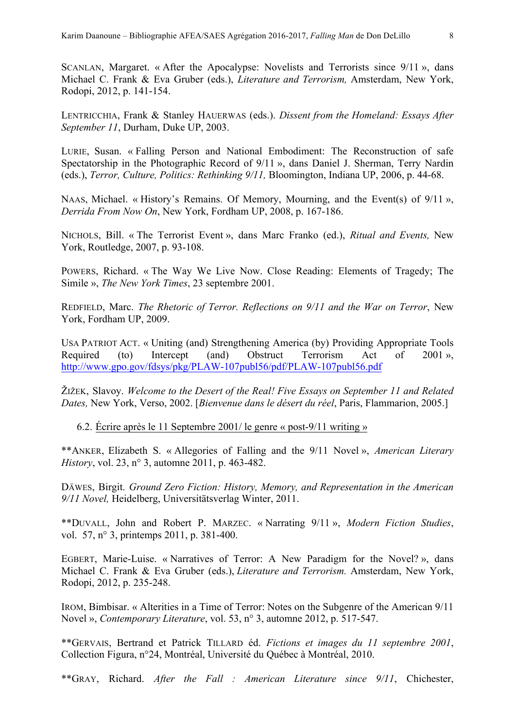SCANLAN, Margaret. « After the Apocalypse: Novelists and Terrorists since 9/11 », dans Michael C. Frank & Eva Gruber (eds.), *Literature and Terrorism,* Amsterdam, New York, Rodopi, 2012, p. 141-154.

LENTRICCHIA, Frank & Stanley HAUERWAS (eds.). *Dissent from the Homeland: Essays After September 11*, Durham, Duke UP, 2003.

LURIE, Susan. « Falling Person and National Embodiment: The Reconstruction of safe Spectatorship in the Photographic Record of 9/11 », dans Daniel J. Sherman, Terry Nardin (eds.), *Terror, Culture, Politics: Rethinking 9/11,* Bloomington, Indiana UP, 2006, p. 44-68.

NAAS, Michael. « History's Remains. Of Memory, Mourning, and the Event(s) of 9/11 », *Derrida From Now On*, New York, Fordham UP, 2008, p. 167-186.

NICHOLS, Bill. « The Terrorist Event », dans Marc Franko (ed.), *Ritual and Events,* New York, Routledge, 2007, p. 93-108.

POWERS, Richard. « The Way We Live Now. Close Reading: Elements of Tragedy; The Simile », *The New York Times*, 23 septembre 2001.

REDFIELD, Marc. *The Rhetoric of Terror. Reflections on 9/11 and the War on Terror*, New York, Fordham UP, 2009.

USA PATRIOT ACT. « Uniting (and) Strengthening America (by) Providing Appropriate Tools Required (to) Intercept (and) Obstruct Terrorism Act of 2001 », http://www.gpo.gov/fdsys/pkg/PLAW-107publ56/pdf/PLAW-107publ56.pdf

ŽIŽEK, Slavoy. *Welcome to the Desert of the Real! Five Essays on September 11 and Related Dates,* New York, Verso, 2002. [*Bienvenue dans le désert du réel*, Paris, Flammarion, 2005.]

6.2. Écrire après le 11 Septembre 2001/ le genre « post-9/11 writing »

\*\*ANKER, Elizabeth S. « Allegories of Falling and the 9/11 Novel », *American Literary History*, vol. 23, n° 3, automne 2011, p. 463-482.

DÄWES, Birgit. *Ground Zero Fiction: History, Memory, and Representation in the American 9/11 Novel,* Heidelberg, Universitätsverlag Winter, 2011.

\*\*DUVALL, John and Robert P. MARZEC. « Narrating 9/11 », *Modern Fiction Studies*, vol. 57, n° 3, printemps 2011, p. 381-400.

EGBERT, Marie-Luise. « Narratives of Terror: A New Paradigm for the Novel? », dans Michael C. Frank & Eva Gruber (eds.), *Literature and Terrorism.* Amsterdam, New York, Rodopi, 2012, p. 235-248.

IROM, Bimbisar. « Alterities in a Time of Terror: Notes on the Subgenre of the American 9/11 Novel », *Contemporary Literature*, vol. 53, n° 3, automne 2012, p. 517-547.

\*\*GERVAIS, Bertrand et Patrick TILLARD éd. *Fictions et images du 11 septembre 2001*, Collection Figura, n°24, Montréal, Université du Québec à Montréal, 2010.

\*\*GRAY, Richard. *After the Fall : American Literature since 9/11*, Chichester,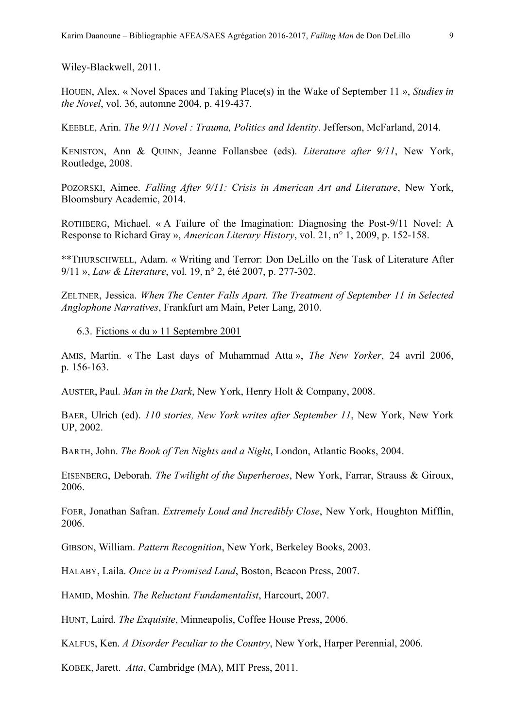Wiley-Blackwell, 2011.

HOUEN, Alex. « Novel Spaces and Taking Place(s) in the Wake of September 11 », *Studies in the Novel*, vol. 36, automne 2004, p. 419-437.

KEEBLE, Arin. *The 9/11 Novel : Trauma, Politics and Identity*. Jefferson, McFarland, 2014.

KENISTON, Ann & QUINN, Jeanne Follansbee (eds). *Literature after 9/11*, New York, Routledge, 2008.

POZORSKI, Aimee. *Falling After 9/11: Crisis in American Art and Literature*, New York, Bloomsbury Academic, 2014.

ROTHBERG, Michael. « A Failure of the Imagination: Diagnosing the Post-9/11 Novel: A Response to Richard Gray », *American Literary History*, vol. 21, n° 1, 2009, p. 152-158.

\*\*THURSCHWELL, Adam. « Writing and Terror: Don DeLillo on the Task of Literature After 9/11 », *Law & Literature*, vol. 19, n° 2, été 2007, p. 277-302.

ZELTNER, Jessica. *When The Center Falls Apart. The Treatment of September 11 in Selected Anglophone Narratives*, Frankfurt am Main, Peter Lang, 2010.

#### 6.3. Fictions « du » 11 Septembre 2001

AMIS, Martin. « The Last days of Muhammad Atta », *The New Yorker*, 24 avril 2006, p. 156-163.

AUSTER, Paul. *Man in the Dark*, New York, Henry Holt & Company, 2008.

BAER, Ulrich (ed). *110 stories, New York writes after September 11*, New York, New York UP, 2002.

BARTH, John. *The Book of Ten Nights and a Night*, London, Atlantic Books, 2004.

EISENBERG, Deborah. *The Twilight of the Superheroes*, New York, Farrar, Strauss & Giroux, 2006.

FOER, Jonathan Safran. *Extremely Loud and Incredibly Close*, New York, Houghton Mifflin, 2006.

GIBSON, William. *Pattern Recognition*, New York, Berkeley Books, 2003.

HALABY, Laila. *Once in a Promised Land*, Boston, Beacon Press, 2007.

HAMID, Moshin. *The Reluctant Fundamentalist*, Harcourt, 2007.

HUNT, Laird. *The Exquisite*, Minneapolis, Coffee House Press, 2006.

KALFUS, Ken. *A Disorder Peculiar to the Country*, New York, Harper Perennial, 2006.

KOBEK, Jarett. *Atta*, Cambridge (MA), MIT Press, 2011.